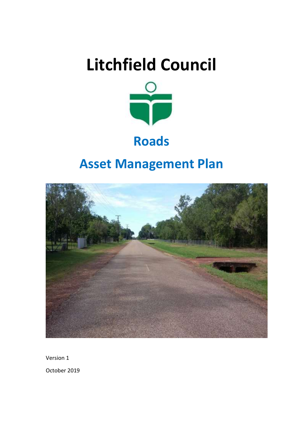# **Litchfield Council**



## **Roads**

## **Asset Management Plan**



Version 1

October 2019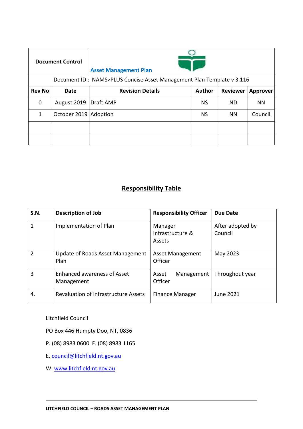| <b>Document Control</b> |                       | <b>Asset Management Plan</b>                                                   |           |           |           |
|-------------------------|-----------------------|--------------------------------------------------------------------------------|-----------|-----------|-----------|
|                         |                       | Document ID: NAMS>PLUS Concise Asset Management Plan Template v 3.116          |           |           |           |
| <b>Rev No</b>           | Date                  | <b>Revision Details</b><br><b>Author</b><br><b>Reviewer</b><br><b>Approver</b> |           |           |           |
| 0                       | August 2019           | Draft AMP                                                                      | <b>NS</b> | <b>ND</b> | <b>NN</b> |
| 1                       | October 2019 Adoption |                                                                                | <b>NS</b> | <b>NN</b> | Council   |
|                         |                       |                                                                                |           |           |           |
|                         |                       |                                                                                |           |           |           |

## **Responsibility Table**

| <b>S.N.</b>   | <b>Description of Job</b>                        | <b>Responsibility Officer</b>         | Due Date                    |
|---------------|--------------------------------------------------|---------------------------------------|-----------------------------|
| 1             | Implementation of Plan                           | Manager<br>Infrastructure &<br>Assets | After adopted by<br>Council |
| $\mathcal{P}$ | Update of Roads Asset Management<br>Plan         | <b>Asset Management</b><br>Officer    | May 2023                    |
| 3             | <b>Enhanced awareness of Asset</b><br>Management | Management<br>Asset<br>Officer        | Throughout year             |
| 4.            | <b>Revaluation of Infrastructure Assets</b>      | <b>Finance Manager</b>                | June 2021                   |

Litchfield Council

PO Box 446 Humpty Doo, NT, 0836

P. (08) 8983 0600 F. (08) 8983 1165

E. [council@litchfield.nt.gov.au](mailto:council@litchfield.nt.gov.au)

W. [www.litchfield.nt.gov.au](http://www.litchfield.nt.gov.au/)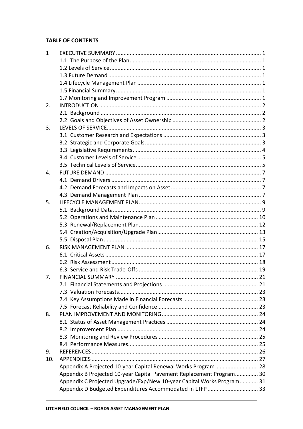#### **TABLE OF CONTENTS**

| $\mathbf{1}$   |                                                                       |  |
|----------------|-----------------------------------------------------------------------|--|
|                |                                                                       |  |
|                |                                                                       |  |
|                |                                                                       |  |
|                |                                                                       |  |
|                |                                                                       |  |
|                |                                                                       |  |
| 2.             |                                                                       |  |
|                |                                                                       |  |
|                |                                                                       |  |
| 3.             |                                                                       |  |
|                |                                                                       |  |
|                |                                                                       |  |
|                |                                                                       |  |
|                |                                                                       |  |
|                |                                                                       |  |
| $\mathbf{4}$ . |                                                                       |  |
|                |                                                                       |  |
|                |                                                                       |  |
|                |                                                                       |  |
|                |                                                                       |  |
| 5.             |                                                                       |  |
|                |                                                                       |  |
|                |                                                                       |  |
|                |                                                                       |  |
|                |                                                                       |  |
|                |                                                                       |  |
| 6.             |                                                                       |  |
|                |                                                                       |  |
|                |                                                                       |  |
|                |                                                                       |  |
| 7.             |                                                                       |  |
|                |                                                                       |  |
|                |                                                                       |  |
|                |                                                                       |  |
|                |                                                                       |  |
| 8.             |                                                                       |  |
|                |                                                                       |  |
|                |                                                                       |  |
|                |                                                                       |  |
|                |                                                                       |  |
| 9.             |                                                                       |  |
| 10.            |                                                                       |  |
|                | Appendix A Projected 10-year Capital Renewal Works Program 28         |  |
|                | Appendix B Projected 10-year Capital Pavement Replacement Program 30  |  |
|                | Appendix C Projected Upgrade/Exp/New 10-year Capital Works Program 31 |  |
|                | Appendix D Budgeted Expenditures Accommodated in LTFP  33             |  |
|                |                                                                       |  |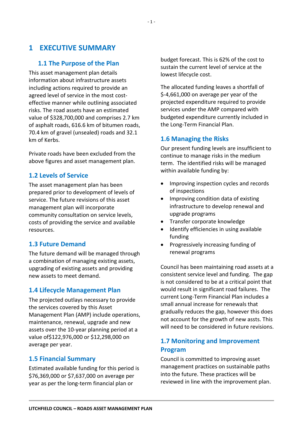## <span id="page-3-0"></span>**1 EXECUTIVE SUMMARY**

#### <span id="page-3-1"></span>**1.1 The Purpose of the Plan**

This asset management plan details information about infrastructure assets including actions required to provide an agreed level of service in the most costeffective manner while outlining associated risks. The road assets have an estimated value of \$328,700,000 and comprises 2.7 km of asphalt roads, 616.6 km of bitumen roads, 70.4 km of gravel (unsealed) roads and 32.1 km of Kerbs.

Private roads have been excluded from the above figures and asset management plan.

#### <span id="page-3-2"></span>**1.2 Levels of Service**

The asset management plan has been prepared prior to development of levels of service. The future revisions of this asset management plan will incorporate community consultation on service levels, costs of providing the service and available resources.

#### <span id="page-3-3"></span>**1.3 Future Demand**

The future demand will be managed through a combination of managing existing assets, upgrading of existing assets and providing new assets to meet demand.

#### <span id="page-3-4"></span>**1.4 Lifecycle Management Plan**

The projected outlays necessary to provide the services covered by this Asset Management Plan (AMP) include operations, maintenance, renewal, upgrade and new assets over the 10-year planning period at a value of\$122,976,000 or \$12,298,000 on average per year.

#### <span id="page-3-5"></span>**1.5 Financial Summary**

Estimated available funding for this period is \$76,369,000 or \$7,637,000 on average per year as per the long-term financial plan or

budget forecast. This is 62% of the cost to sustain the current level of service at the lowest lifecycle cost.

The allocated funding leaves a shortfall of \$-4,661,000 on average per year of the projected expenditure required to provide services under the AMP compared with budgeted expenditure currently included in the Long-Term Financial Plan.

#### **1.6 Managing the Risks**

Our present funding levels are insufficient to continue to manage risks in the medium term. The identified risks will be managed within available funding by:

- Improving inspection cycles and records of inspections
- Improving condition data of existing infrastructure to develop renewal and upgrade programs
- Transfer corporate knowledge
- Identify efficiencies in using available funding
- Progressively increasing funding of renewal programs

Council has been maintaining road assets at a consistent service level and funding. The gap is not considered to be at a critical point that would result in significant road failures. The current Long-Term Financial Plan includes a small annual increase for renewals that gradually reduces the gap, however this does not account for the growth of new assts. This will need to be considered in future revisions.

## <span id="page-3-6"></span>**1.7 Monitoring and Improvement Program**

Council is committed to improving asset management practices on sustainable paths into the future. These practices will be reviewed in line with the improvement plan.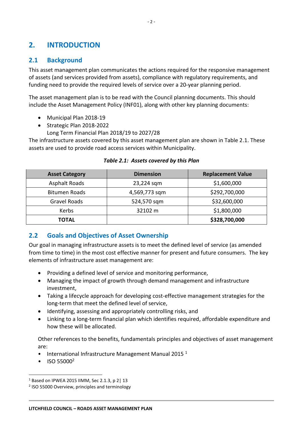## <span id="page-4-0"></span>**2. INTRODUCTION**

#### <span id="page-4-1"></span>**2.1 Background**

This asset management plan communicates the actions required for the responsive management of assets (and services provided from assets), compliance with regulatory requirements, and funding need to provide the required levels of service over a 20-year planning period.

The asset management plan is to be read with the Council planning documents. This should include the Asset Management Policy (INF01), along with other key planning documents:

- Municipal Plan 2018-19
- Strategic Plan 2018-2022
	- Long Term Financial Plan 2018/19 to 2027/28

The infrastructure assets covered by this asset management plan are shown in Table 2.1. These assets are used to provide road access services within Municipality.

| <b>Asset Category</b> | <b>Dimension</b> | <b>Replacement Value</b> |
|-----------------------|------------------|--------------------------|
| <b>Asphalt Roads</b>  | 23,224 sqm       | \$1,600,000              |
| <b>Bitumen Roads</b>  | 4,569,773 sqm    | \$292,700,000            |
| Gravel Roads          | 524,570 sqm      | \$32,600,000             |
| Kerbs                 | 32102 m          | \$1,800,000              |
| TOTAL                 |                  | \$328,700,000            |

#### *Table 2.1: Assets covered by this Plan*

#### <span id="page-4-2"></span>**2.2 Goals and Objectives of Asset Ownership**

Our goal in managing infrastructure assets is to meet the defined level of service (as amended from time to time) in the most cost effective manner for present and future consumers. The key elements of infrastructure asset management are:

- Providing a defined level of service and monitoring performance,
- Managing the impact of growth through demand management and infrastructure investment,
- Taking a lifecycle approach for developing cost-effective management strategies for the long-term that meet the defined level of service,
- Identifying, assessing and appropriately controlling risks, and
- Linking to a long-term financial plan which identifies required, affordable expenditure and how these will be allocated.

Other references to the benefits, fundamentals principles and objectives of asset management are:

- International Infrastructure Management Manual 2015 $1$
- $\bullet$  ISO 55000<sup>2</sup>

1

<sup>1</sup> Based on IPWEA 2015 IIMM, Sec 2.1.3, p 2| 13

<sup>&</sup>lt;sup>2</sup> ISO 55000 Overview, principles and terminology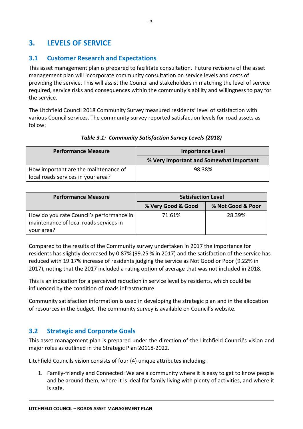## <span id="page-5-0"></span>**3. LEVELS OF SERVICE**

## <span id="page-5-1"></span>**3.1 Customer Research and Expectations**

This asset management plan is prepared to facilitate consultation. Future revisions of the asset management plan will incorporate community consultation on service levels and costs of providing the service. This will assist the Council and stakeholders in matching the level of service required, service risks and consequences within the community's ability and willingness to pay for the service.

The Litchfield Council 2018 Community Survey measured residents' level of satisfaction with various Council services. The community survey reported satisfaction levels for road assets as follow:

| <b>Performance Measure</b>                                                 | <b>Importance Level</b>                 |  |
|----------------------------------------------------------------------------|-----------------------------------------|--|
|                                                                            | % Very Important and Somewhat Important |  |
| How important are the maintenance of<br>local roads services in your area? | 98.38%                                  |  |

#### *Table 3.1: Community Satisfaction Survey Levels (2018)*

| <b>Performance Measure</b>                                                                       | <b>Satisfaction Level</b> |                   |  |
|--------------------------------------------------------------------------------------------------|---------------------------|-------------------|--|
|                                                                                                  | % Very Good & Good        | % Not Good & Poor |  |
| How do you rate Council's performance in<br>maintenance of local roads services in<br>your area? | 71.61%                    | 28.39%            |  |

Compared to the results of the Community survey undertaken in 2017 the importance for residents has slightly decreased by 0.87% (99.25 % in 2017) and the satisfaction of the service has reduced with 19.17% increase of residents judging the service as Not Good or Poor (9.22% in 2017), noting that the 2017 included a rating option of average that was not included in 2018.

This is an indication for a perceived reduction in service level by residents, which could be influenced by the condition of roads infrastructure.

Community satisfaction information is used in developing the strategic plan and in the allocation of resources in the budget. The community survey is available on Council's website.

#### <span id="page-5-2"></span>**3.2 Strategic and Corporate Goals**

This asset management plan is prepared under the direction of the Litchfield Council's vision and major roles as outlined in the Strategic Plan 20118-2022.

Litchfield Councils vision consists of four (4) unique attributes including:

1. Family-friendly and Connected: We are a community where it is easy to get to know people and be around them, where it is ideal for family living with plenty of activities, and where it is safe.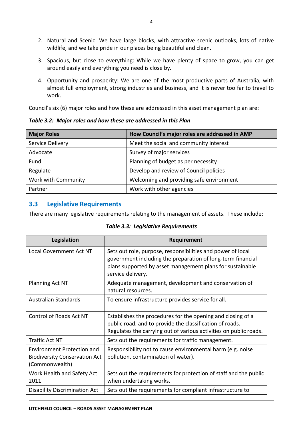- 2. Natural and Scenic: We have large blocks, with attractive scenic outlooks, lots of native wildlife, and we take pride in our places being beautiful and clean.
- 3. Spacious, but close to everything: While we have plenty of space to grow, you can get around easily and everything you need is close by.
- 4. Opportunity and prosperity: We are one of the most productive parts of Australia, with almost full employment, strong industries and business, and it is never too far to travel to work.

Council's six (6) major roles and how these are addressed in this asset management plan are:

*Table 3.2: Major roles and how these are addressed in this Plan*

| <b>Major Roles</b>  | How Council's major roles are addressed in AMP |
|---------------------|------------------------------------------------|
| Service Delivery    | Meet the social and community interest         |
| Advocate            | Survey of major services                       |
| Fund                | Planning of budget as per necessity            |
| Regulate            | Develop and review of Council policies         |
| Work with Community | Welcoming and providing safe environment       |
| Partner             | Work with other agencies                       |

#### <span id="page-6-0"></span>**3.3 Legislative Requirements**

There are many legislative requirements relating to the management of assets. These include:

| Legislation                                                                                 | Requirement                                                                                                                                                                                                  |
|---------------------------------------------------------------------------------------------|--------------------------------------------------------------------------------------------------------------------------------------------------------------------------------------------------------------|
| <b>Local Government Act NT</b>                                                              | Sets out role, purpose, responsibilities and power of local<br>government including the preparation of long-term financial<br>plans supported by asset management plans for sustainable<br>service delivery. |
| Planning Act NT                                                                             | Adequate management, development and conservation of<br>natural resources.                                                                                                                                   |
| Australian Standards                                                                        | To ensure infrastructure provides service for all.                                                                                                                                                           |
| <b>Control of Roads Act NT</b>                                                              | Establishes the procedures for the opening and closing of a<br>public road, and to provide the classification of roads.<br>Regulates the carrying out of various activities on public roads.                 |
| <b>Traffic Act NT</b>                                                                       | Sets out the requirements for traffic management.                                                                                                                                                            |
| <b>Environment Protection and</b><br><b>Biodiversity Conservation Act</b><br>(Commonwealth) | Responsibility not to cause environmental harm (e.g. noise<br>pollution, contamination of water).                                                                                                            |
| Work Health and Safety Act<br>2011                                                          | Sets out the requirements for protection of staff and the public<br>when undertaking works.                                                                                                                  |
| <b>Disability Discrimination Act</b>                                                        | Sets out the requirements for compliant infrastructure to                                                                                                                                                    |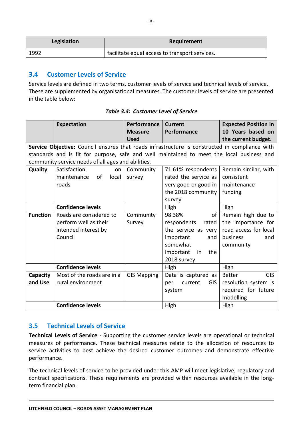| Legislation | Requirement                                    |
|-------------|------------------------------------------------|
| 1992        | facilitate equal access to transport services. |

#### <span id="page-7-0"></span>**3.4 Customer Levels of Service**

Service levels are defined in two terms, customer levels of service and technical levels of service. These are supplemented by organisational measures. The customer levels of service are presented in the table below:

|                 | <b>Expectation</b>                                                                             | Performance        | <b>Current</b>               | <b>Expected Position in</b> |
|-----------------|------------------------------------------------------------------------------------------------|--------------------|------------------------------|-----------------------------|
|                 |                                                                                                | <b>Measure</b>     | Performance                  | 10 Years based on           |
|                 |                                                                                                | <b>Used</b>        |                              | the current budget.         |
|                 | Service Objective: Council ensures that roads infrastructure is constructed in compliance with |                    |                              |                             |
|                 | standards and is fit for purpose, safe and well maintained to meet the local business and      |                    |                              |                             |
|                 | community service needs of all ages and abilities.                                             |                    |                              |                             |
| Quality         | Satisfaction<br>on                                                                             | Community          | 71.61% respondents           | Remain similar, with        |
|                 | οf<br>local<br>maintenance                                                                     | survey             | rated the service as         | consistent                  |
|                 | roads                                                                                          |                    | very good or good in         | maintenance                 |
|                 |                                                                                                |                    | the 2018 community           | funding                     |
|                 |                                                                                                |                    | survey                       |                             |
|                 | <b>Confidence levels</b>                                                                       |                    | High                         | High                        |
| <b>Function</b> | Roads are considered to                                                                        | Community          | of<br>98.38%                 | Remain high due to          |
|                 | perform well as their                                                                          | Survey             | respondents<br>rated         | the importance for          |
|                 | intended interest by                                                                           |                    | the service as very          | road access for local       |
|                 | Council                                                                                        |                    | important<br>and             | business<br>and             |
|                 |                                                                                                |                    | somewhat                     | community                   |
|                 |                                                                                                |                    | important<br>the<br>in       |                             |
|                 |                                                                                                |                    | 2018 survey.                 |                             |
|                 | <b>Confidence levels</b>                                                                       |                    | High                         | High                        |
| Capacity        | Most of the roads are in a                                                                     | <b>GIS Mapping</b> | Data is captured as          | <b>GIS</b><br><b>Better</b> |
| and Use         | rural environment                                                                              |                    | current<br><b>GIS</b><br>per | resolution system is        |
|                 |                                                                                                |                    | system                       | required for future         |
|                 |                                                                                                |                    |                              | modelling                   |
|                 | <b>Confidence levels</b>                                                                       |                    | High                         | High                        |

*Table 3.4: Customer Level of Service*

#### <span id="page-7-1"></span>**3.5 Technical Levels of Service**

**Technical Levels of Service** - Supporting the customer service levels are operational or technical measures of performance. These technical measures relate to the allocation of resources to service activities to best achieve the desired customer outcomes and demonstrate effective performance.

The technical levels of service to be provided under this AMP will meet legislative, regulatory and contract specifications. These requirements are provided within resources available in the longterm financial plan.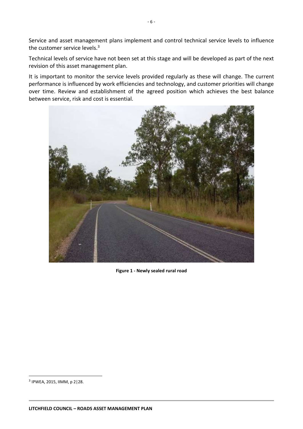Service and asset management plans implement and control technical service levels to influence the customer service levels.<sup>3</sup>

Technical levels of service have not been set at this stage and will be developed as part of the next revision of this asset management plan.

It is important to monitor the service levels provided regularly as these will change. The current performance is influenced by work efficiencies and technology, and customer priorities will change over time. Review and establishment of the agreed position which achieves the best balance between service, risk and cost is essential.



**Figure 1 - Newly sealed rural road**

**.** 

<sup>3</sup> IPWEA, 2015, IIMM, p 2|28.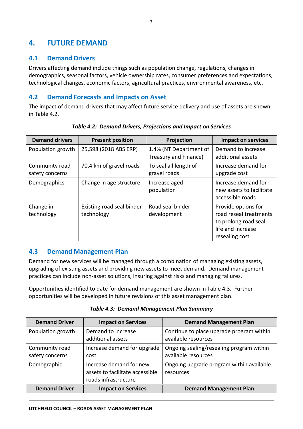## <span id="page-9-0"></span>**4. FUTURE DEMAND**

#### <span id="page-9-1"></span>**4.1 Demand Drivers**

Drivers affecting demand include things such as population change, regulations, changes in demographics, seasonal factors, vehicle ownership rates, consumer preferences and expectations, technological changes, economic factors, agricultural practices, environmental awareness, etc.

#### <span id="page-9-2"></span>**4.2 Demand Forecasts and Impacts on Asset**

The impact of demand drivers that may affect future service delivery and use of assets are shown in Table 4.2.

| <b>Demand drivers</b>             | <b>Present position</b>                 | Projection                                      | <b>Impact on services</b>                                                                                    |
|-----------------------------------|-----------------------------------------|-------------------------------------------------|--------------------------------------------------------------------------------------------------------------|
| Population growth                 | 25,598 (2018 ABS ERP)                   | 1.4% (NT Department of<br>Treasury and Finance) | Demand to increase<br>additional assets                                                                      |
| Community road<br>safety concerns | 70.4 km of gravel roads                 | To seal all length of<br>gravel roads           | Increase demand for<br>upgrade cost                                                                          |
| Demographics                      | Change in age structure                 | Increase aged<br>population                     | Increase demand for<br>new assets to facilitate<br>accessible roads                                          |
| Change in<br>technology           | Existing road seal binder<br>technology | Road seal binder<br>development                 | Provide options for<br>road reseal treatments<br>to prolong road seal<br>life and increase<br>resealing cost |

*Table 4.2: Demand Drivers, Projections and Impact on Services*

## <span id="page-9-3"></span>**4.3 Demand Management Plan**

Demand for new services will be managed through a combination of managing existing assets, upgrading of existing assets and providing new assets to meet demand. Demand management practices can include non-asset solutions, insuring against risks and managing failures.

Opportunities identified to date for demand management are shown in Table 4.3. Further opportunities will be developed in future revisions of this asset management plan.

| <b>Demand Driver</b>              | <b>Impact on Services</b>                                                          | <b>Demand Management Plan</b>                                   |  |
|-----------------------------------|------------------------------------------------------------------------------------|-----------------------------------------------------------------|--|
| Population growth                 | Demand to increase<br>additional assets                                            | Continue to place upgrade program within<br>available resources |  |
| Community road<br>safety concerns | Increase demand for upgrade<br>cost                                                | Ongoing sealing/resealing program within<br>available resources |  |
| Demographic                       | Increase demand for new<br>assets to facilitate accessible<br>roads infrastructure | Ongoing upgrade program within available<br>resources           |  |
| <b>Demand Driver</b>              | <b>Impact on Services</b>                                                          | <b>Demand Management Plan</b>                                   |  |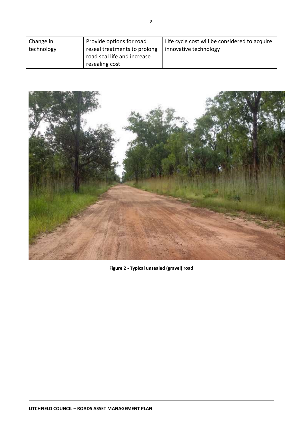<span id="page-10-0"></span>

| Change in  | Provide options for road                                    | Life cycle cost will be considered to acquire |  |
|------------|-------------------------------------------------------------|-----------------------------------------------|--|
| technology | reseal treatments to prolong<br>road seal life and increase | innovative technology                         |  |
|            | resealing cost                                              |                                               |  |



**Figure 2 - Typical unsealed (gravel) road**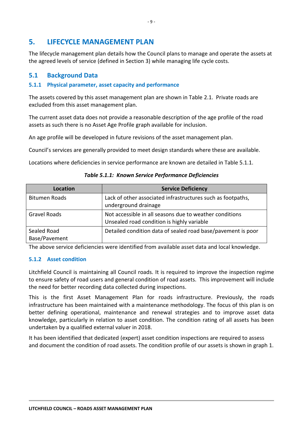## **5. LIFECYCLE MANAGEMENT PLAN**

The lifecycle management plan details how the Council plans to manage and operate the assets at the agreed levels of service (defined in Section 3) while managing life cycle costs.

#### <span id="page-11-0"></span>**5.1 Background Data**

#### **5.1.1 Physical parameter, asset capacity and performance**

The assets covered by this asset management plan are shown in Table 2.1. Private roads are excluded from this asset management plan.

The current asset data does not provide a reasonable description of the age profile of the road assets as such there is no Asset Age Profile graph available for inclusion.

An age profile will be developed in future revisions of the asset management plan.

Council's services are generally provided to meet design standards where these are available.

Locations where deficiencies in service performance are known are detailed in Table 5.1.1.

| Location                     | <b>Service Deficiency</b>                                                                             |
|------------------------------|-------------------------------------------------------------------------------------------------------|
| <b>Bitumen Roads</b>         | Lack of other associated infrastructures such as footpaths,<br>underground drainage                   |
| <b>Gravel Roads</b>          | Not accessible in all seasons due to weather conditions<br>Unsealed road condition is highly variable |
| Sealed Road<br>Base/Pavement | Detailed condition data of sealed road base/pavement is poor                                          |

*Table 5.1.1: Known Service Performance Deficiencies*

The above service deficiencies were identified from available asset data and local knowledge.

#### **5.1.2 Asset condition**

Litchfield Council is maintaining all Council roads. It is required to improve the inspection regime to ensure safety of road users and general condition of road assets. This improvement will include the need for better recording data collected during inspections.

This is the first Asset Management Plan for roads infrastructure. Previously, the roads infrastructure has been maintained with a maintenance methodology. The focus of this plan is on better defining operational, maintenance and renewal strategies and to improve asset data knowledge, particularly in relation to asset condition. The condition rating of all assets has been undertaken by a qualified external valuer in 2018.

It has been identified that dedicated (expert) asset condition inspections are required to assess and document the condition of road assets. The condition profile of our assets is shown in graph 1.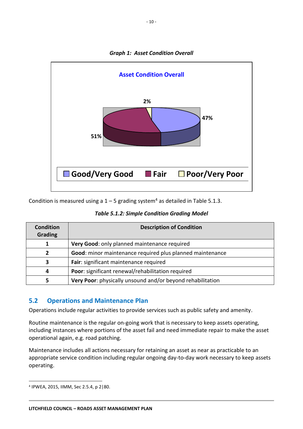

*Graph 1: Asset Condition Overall*

Condition is measured using a  $1 - 5$  grading system<sup>4</sup> as detailed in Table 5.1.3.

| <b>Table 5.1.2: Simple Condition Grading Model</b> |  |  |  |
|----------------------------------------------------|--|--|--|
|----------------------------------------------------|--|--|--|

| <b>Condition</b><br><b>Grading</b> | <b>Description of Condition</b>                            |
|------------------------------------|------------------------------------------------------------|
|                                    | Very Good: only planned maintenance required               |
| 2                                  | Good: minor maintenance required plus planned maintenance  |
| 3                                  | Fair: significant maintenance required                     |
| 4                                  | Poor: significant renewal/rehabilitation required          |
| 5                                  | Very Poor: physically unsound and/or beyond rehabilitation |

#### <span id="page-12-0"></span>**5.2 Operations and Maintenance Plan**

Operations include regular activities to provide services such as public safety and amenity.

Routine maintenance is the regular on-going work that is necessary to keep assets operating, including instances where portions of the asset fail and need immediate repair to make the asset operational again, e.g. road patching.

Maintenance includes all actions necessary for retaining an asset as near as practicable to an appropriate service condition including regular ongoing day-to-day work necessary to keep assets operating.

<u>.</u>

<sup>4</sup> IPWEA, 2015, IIMM, Sec 2.5.4, p 2|80.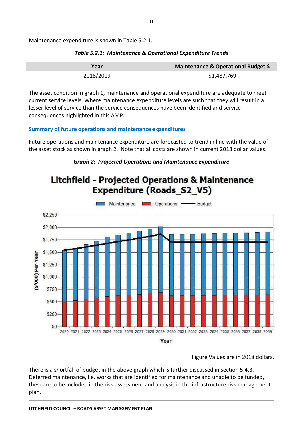Maintenance expenditure is shown in Table 5.2.1.

| Year      | Maintenance & Operational Budget \$ |
|-----------|-------------------------------------|
| 2018/2019 | \$1,487,769                         |

#### *Table 5.2.1: Maintenance & Operational Expenditure Trends*

The asset condition in graph 1, maintenance and operational expenditure are adequate to meet current service levels. Where maintenance expenditure levels are such that they will result in a lesser level of service than the service consequences have been identified and service consequences highlighted in this AMP.

#### **Summary of future operations and maintenance expenditures**

Future operations and maintenance expenditure are forecasted to trend in line with the value of the asset stock as shown in graph 2. Note that all costs are shown in current 2018 dollar values.

#### *Graph 2: Projected Operations and Maintenance Expenditure*



#### Figure Values are in 2018 dollars.

There is a shortfall of budget in the above graph which is further discussed in section 5.4.3. Deferred maintenance, i.e. works that are identified for maintenance and unable to be funded, theseare to be included in the risk assessment and analysis in the infrastructure risk management plan.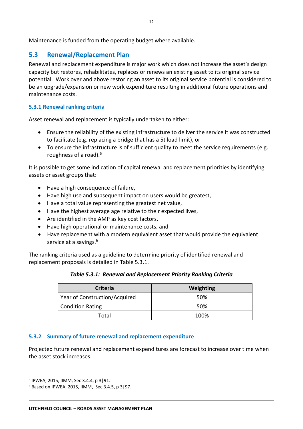Maintenance is funded from the operating budget where available.

#### <span id="page-14-0"></span>**5.3 Renewal/Replacement Plan**

Renewal and replacement expenditure is major work which does not increase the asset's design capacity but restores, rehabilitates, replaces or renews an existing asset to its original service potential. Work over and above restoring an asset to its original service potential is considered to be an upgrade/expansion or new work expenditure resulting in additional future operations and maintenance costs.

#### **5.3.1 Renewal ranking criteria**

Asset renewal and replacement is typically undertaken to either:

- Ensure the reliability of the existing infrastructure to deliver the service it was constructed to facilitate (e.g. replacing a bridge that has a 5t load limit), or
- To ensure the infrastructure is of sufficient quality to meet the service requirements (e.g. roughness of a road).<sup>5</sup>

It is possible to get some indication of capital renewal and replacement priorities by identifying assets or asset groups that:

- Have a high consequence of failure,
- Have high use and subsequent impact on users would be greatest,
- Have a total value representing the greatest net value,
- Have the highest average age relative to their expected lives,
- Are identified in the AMP as key cost factors,
- Have high operational or maintenance costs, and
- Have replacement with a modern equivalent asset that would provide the equivalent service at a savings.<sup>6</sup>

The ranking criteria used as a guideline to determine priority of identified renewal and replacement proposals is detailed in Table 5.3.1.

| Table 5.3.1: Renewal and Replacement Priority Ranking Criteria |  |
|----------------------------------------------------------------|--|
|                                                                |  |

| <b>Criteria</b>               | Weighting |  |
|-------------------------------|-----------|--|
| Year of Construction/Acquired | .50%      |  |
| <b>Condition Rating</b>       | 50%       |  |
| Total                         | 100%      |  |

#### **5.3.2 Summary of future renewal and replacement expenditure**

Projected future renewal and replacement expenditures are forecast to increase over time when the asset stock increases.

1

<sup>5</sup> IPWEA, 2015, IIMM, Sec 3.4.4, p 3|91.

<sup>6</sup> Based on IPWEA, 2015, IIMM, Sec 3.4.5, p 3|97.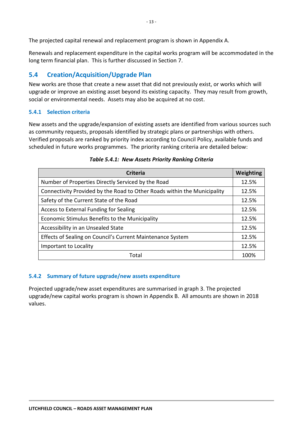The projected capital renewal and replacement program is shown in Appendix A.

Renewals and replacement expenditure in the capital works program will be accommodated in the long term financial plan. This is further discussed in Section 7.

## <span id="page-15-0"></span>**5.4 Creation/Acquisition/Upgrade Plan**

New works are those that create a new asset that did not previously exist, or works which will upgrade or improve an existing asset beyond its existing capacity. They may result from growth, social or environmental needs. Assets may also be acquired at no cost.

#### **5.4.1 Selection criteria**

New assets and the upgrade/expansion of existing assets are identified from various sources such as community requests, proposals identified by strategic plans or partnerships with others. Verified proposals are ranked by priority index according to Council Policy, available funds and scheduled in future works programmes. The priority ranking criteria are detailed below:

| <b>Criteria</b>                                                          |       |  |  |
|--------------------------------------------------------------------------|-------|--|--|
| Number of Properties Directly Serviced by the Road                       | 12.5% |  |  |
| Connectivity Provided by the Road to Other Roads within the Municipality | 12.5% |  |  |
| Safety of the Current State of the Road                                  | 12.5% |  |  |
| Access to External Funding for Sealing                                   |       |  |  |
| Economic Stimulus Benefits to the Municipality                           |       |  |  |
| Accessibility in an Unsealed State                                       |       |  |  |
| Effects of Sealing on Council's Current Maintenance System               |       |  |  |
| Important to Locality                                                    |       |  |  |
| Total                                                                    |       |  |  |

#### *Table 5.4.1: New Assets Priority Ranking Criteria*

#### **5.4.2 Summary of future upgrade/new assets expenditure**

Projected upgrade/new asset expenditures are summarised in graph 3. The projected upgrade/new capital works program is shown in Appendix B. All amounts are shown in 2018 values.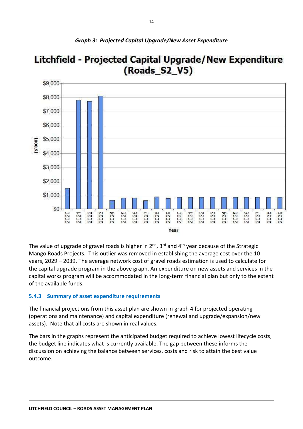

## Litchfield - Projected Capital Upgrade/New Expenditure (Roads S2\_V5)

The value of upgrade of gravel roads is higher in  $2^{nd}$ ,  $3^{rd}$  and  $4^{th}$  year because of the Strategic Mango Roads Projects. This outlier was removed in establishing the average cost over the 10 years, 2029 – 2039. The average network cost of gravel roads estimation is used to calculate for the capital upgrade program in the above graph. An expenditure on new assets and services in the capital works program will be accommodated in the long-term financial plan but only to the extent of the available funds.

#### **5.4.3 Summary of asset expenditure requirements**

The financial projections from this asset plan are shown in graph 4 for projected operating (operations and maintenance) and capital expenditure (renewal and upgrade/expansion/new assets). Note that all costs are shown in real values.

The bars in the graphs represent the anticipated budget required to achieve lowest lifecycle costs, the budget line indicates what is currently available. The gap between these informs the discussion on achieving the balance between services, costs and risk to attain the best value outcome.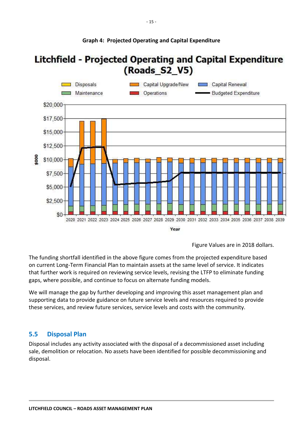

**Graph 4: Projected Operating and Capital Expenditure**

#### **LITCHFIELD COUNCIL – ROADS ASSET MANAGEMENT PLAN**

Figure Values are in 2018 dollars.

The funding shortfall identified in the above figure comes from the projected expenditure based on current Long-Term Financial Plan to maintain assets at the same level of service. It indicates that further work is required on reviewing service levels, revising the LTFP to eliminate funding gaps, where possible, and continue to focus on alternate funding models.

We will manage the gap by further developing and improving this asset management plan and supporting data to provide guidance on future service levels and resources required to provide these services, and review future services, service levels and costs with the community.

#### <span id="page-17-0"></span>**5.5 Disposal Plan**

Disposal includes any activity associated with the disposal of a decommissioned asset including sale, demolition or relocation. No assets have been identified for possible decommissioning and disposal.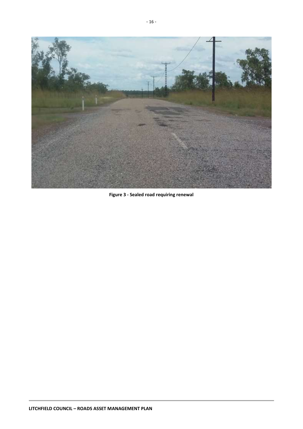

**Figure 3 - Sealed road requiring renewal**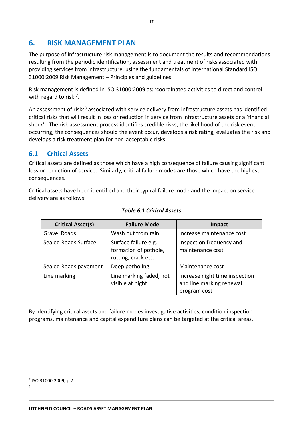## <span id="page-19-2"></span><span id="page-19-0"></span>**6. RISK MANAGEMENT PLAN**

The purpose of infrastructure risk management is to document the results and recommendations resulting from the periodic identification, assessment and treatment of risks associated with providing services from infrastructure, using the fundamentals of International Standard ISO 31000:2009 Risk Management – Principles and guidelines.

Risk management is defined in ISO 31000:2009 as: 'coordinated activities to direct and control with regard to risk'<sup>7</sup>.

An assessment of risks<sup>8</sup> associated with service delivery from infrastructure assets has identified critical risks that will result in loss or reduction in service from infrastructure assets or a 'financial shock'. The risk assessment process identifies credible risks, the likelihood of the risk event occurring, the consequences should the event occur, develops a risk rating, evaluates the risk and develops a risk treatment plan for non-acceptable risks.

#### <span id="page-19-1"></span>**6.1 Critical Assets**

Critical assets are defined as those which have a high consequence of failure causing significant loss or reduction of service. Similarly, critical failure modes are those which have the highest consequences.

Critical assets have been identified and their typical failure mode and the impact on service delivery are as follows:

| <b>Critical Asset(s)</b> | <b>Failure Mode</b>                                                  | <b>Impact</b>                                                              |
|--------------------------|----------------------------------------------------------------------|----------------------------------------------------------------------------|
| Gravel Roads             | Wash out from rain                                                   | Increase maintenance cost                                                  |
| Sealed Roads Surface     | Surface failure e.g.<br>formation of pothole,<br>rutting, crack etc. | Inspection frequency and<br>maintenance cost                               |
| Sealed Roads pavement    | Deep potholing                                                       | Maintenance cost                                                           |
| Line marking             | Line marking faded, not<br>visible at night                          | Increase night time inspection<br>and line marking renewal<br>program cost |

#### *Table 6.1 Critical Assets*

By identifying critical assets and failure modes investigative activities, condition inspection programs, maintenance and capital expenditure plans can be targeted at the critical areas.

1

<sup>7</sup> ISO 31000:2009, p 2

<sup>8</sup>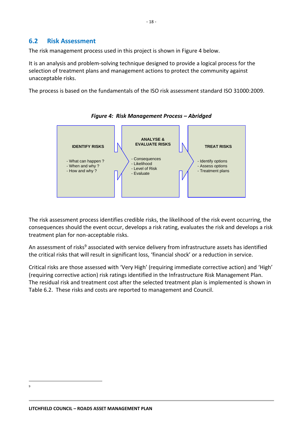#### **6.2 Risk Assessment**

The risk management process used in this project is shown in Figure 4 below.

It is an analysis and problem-solving technique designed to provide a logical process for the selection of treatment plans and management actions to protect the community against unacceptable risks.

The process is based on the fundamentals of the ISO risk assessment standard ISO 31000:2009.



*Figure 4: Risk Management Process – Abridged*

The risk assessment process identifies credible risks, the likelihood of the risk event occurring, the consequences should the event occur, develops a risk rating, evaluates the risk and develops a risk treatment plan for non-acceptable risks.

An assessment of risks<sup>9</sup> associated with service delivery from infrastructure assets has identified the critical risks that will result in significant loss, 'financial shock' or a reduction in service.

Critical risks are those assessed with 'Very High' (requiring immediate corrective action) and 'High' (requiring corrective action) risk ratings identified in the Infrastructure Risk Management Plan. The residual risk and treatment cost after the selected treatment plan is implemented is shown in Table 6.2. These risks and costs are reported to management and Council.

<sup>&</sup>lt;u>.</u> 9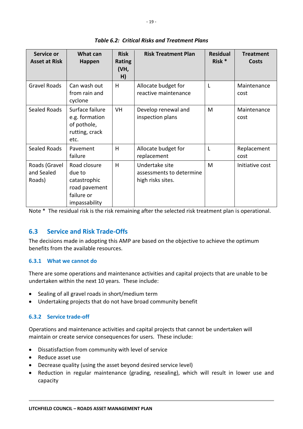| Service or<br><b>Asset at Risk</b>    | What can<br>Happen                                                                     | <b>Risk</b><br><b>Rating</b><br>(VH,<br>H) | <b>Risk Treatment Plan</b>                                      | <b>Residual</b><br>Risk * | <b>Treatment</b><br>Costs |
|---------------------------------------|----------------------------------------------------------------------------------------|--------------------------------------------|-----------------------------------------------------------------|---------------------------|---------------------------|
| <b>Gravel Roads</b>                   | Can wash out<br>from rain and<br>cyclone                                               | H                                          | Allocate budget for<br>reactive maintenance                     | L                         | Maintenance<br>cost       |
| <b>Sealed Roads</b>                   | Surface failure<br>e.g. formation<br>of pothole,<br>rutting, crack<br>etc.             | <b>VH</b>                                  | Develop renewal and<br>inspection plans                         | M                         | Maintenance<br>cost       |
| <b>Sealed Roads</b>                   | Pavement<br>failure                                                                    | H                                          | Allocate budget for<br>replacement                              | L                         | Replacement<br>cost       |
| Roads (Gravel<br>and Sealed<br>Roads) | Road closure<br>due to<br>catastrophic<br>road pavement<br>failure or<br>impassability | H                                          | Undertake site<br>assessments to determine<br>high risks sites. | M                         | Initiative cost           |

*Table 6.2: Critical Risks and Treatment Plans*

Note \* The residual risk is the risk remaining after the selected risk treatment plan is operational.

#### <span id="page-21-0"></span>**6.3 Service and Risk Trade-Offs**

The decisions made in adopting this AMP are based on the objective to achieve the optimum benefits from the available resources.

#### **6.3.1 What we cannot do**

There are some operations and maintenance activities and capital projects that are unable to be undertaken within the next 10 years. These include:

- Sealing of all gravel roads in short/medium term
- Undertaking projects that do not have broad community benefit

#### **6.3.2 Service trade-off**

Operations and maintenance activities and capital projects that cannot be undertaken will maintain or create service consequences for users. These include:

- Dissatisfaction from community with level of service
- Reduce asset use
- Decrease quality (using the asset beyond desired service level)
- Reduction in regular maintenance (grading, resealing), which will result in lower use and capacity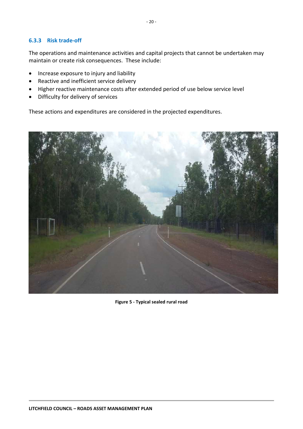#### **6.3.3 Risk trade-off**

The operations and maintenance activities and capital projects that cannot be undertaken may maintain or create risk consequences. These include:

- Increase exposure to injury and liability
- Reactive and inefficient service delivery
- Higher reactive maintenance costs after extended period of use below service level
- Difficulty for delivery of services

These actions and expenditures are considered in the projected expenditures.



**Figure 5 - Typical sealed rural road**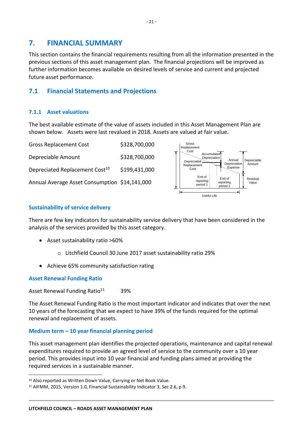## <span id="page-23-0"></span>**7. FINANCIAL SUMMARY**

This section contains the financial requirements resulting from all the information presented in the previous sections of this asset management plan. The financial projections will be improved as further information becomes available on desired levels of service and current and projected future asset performance.

#### <span id="page-23-1"></span>**7.1 Financial Statements and Projections**

#### **7.1.1 Asset valuations**

The best available estimate of the value of assets included in this Asset Management Plan are shown below. Assets were last revalued in 2018. Assets are valued at fair value.

| <b>Gross Replacement Cost</b>                 | \$328,700,000 |
|-----------------------------------------------|---------------|
| Depreciable Amount                            | \$328,700,000 |
| Depreciated Replacement Cost <sup>10</sup>    | \$199,431,000 |
| Annual Average Asset Consumption \$14,141,000 |               |



#### **Sustainability of service delivery**

There are few key indicators for sustainability service delivery that have been considered in the analysis of the services provided by this asset category.

- Asset sustainability ratio >60%
	- o Litchfield Council 30 June 2017 asset sustainability ratio 29%
- Achieve 65% community satisfaction rating

#### **Asset Renewal Funding Ratio**

1

Asset Renewal Funding Ratio $11$  39%

The Asset Renewal Funding Ratio is the most important indicator and indicates that over the next 10 years of the forecasting that we expect to have 39% of the funds required for the optimal renewal and replacement of assets.

#### **Medium term – 10 year financial planning period**

This asset management plan identifies the projected operations, maintenance and capital renewal expenditures required to provide an agreed level of service to the community over a 10 year period. This provides input into 10 year financial and funding plans aimed at providing the required services in a sustainable manner.

<sup>10</sup> Also reported as Written Down Value, Carrying or Net Book Value.

<sup>11</sup> AIFMM, 2015, Version 1.0, Financial Sustainability Indicator 3, Sec 2.6, p 9.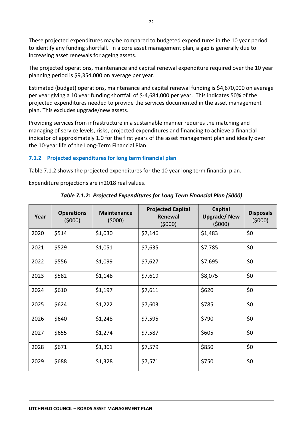These projected expenditures may be compared to budgeted expenditures in the 10 year period to identify any funding shortfall. In a core asset management plan, a gap is generally due to increasing asset renewals for ageing assets.

The projected operations, maintenance and capital renewal expenditure required over the 10 year planning period is \$9,354,000 on average per year.

Estimated (budget) operations, maintenance and capital renewal funding is \$4,670,000 on average per year giving a 10 year funding shortfall of \$-4,684,000 per year. This indicates 50% of the projected expenditures needed to provide the services documented in the asset management plan. This excludes upgrade/new assets.

Providing services from infrastructure in a sustainable manner requires the matching and managing of service levels, risks, projected expenditures and financing to achieve a financial indicator of approximately 1.0 for the first years of the asset management plan and ideally over the 10-year life of the Long-Term Financial Plan.

#### **7.1.2 Projected expenditures for long term financial plan**

Table 7.1.2 shows the projected expenditures for the 10 year long term financial plan.

Expenditure projections are in2018 real values.

| Year | <b>Operations</b><br>(5000) | <b>Maintenance</b><br>(5000) | <b>Projected Capital</b><br>Renewal<br>(5000) | <b>Capital</b><br><b>Upgrade/New</b><br>(5000) | <b>Disposals</b><br>(5000) |
|------|-----------------------------|------------------------------|-----------------------------------------------|------------------------------------------------|----------------------------|
| 2020 | \$514                       | \$1,030                      | \$7,146                                       | \$1,483                                        | \$0                        |
| 2021 | \$529                       | \$1,051                      | \$7,635                                       | \$7,785                                        | \$0                        |
| 2022 | \$556                       | \$1,099                      | \$7,627                                       | \$7,695                                        | \$0                        |
| 2023 | \$582                       | \$1,148                      | \$7,619                                       | \$8,075                                        | \$0                        |
| 2024 | \$610                       | \$1,197                      | \$7,611                                       | \$620                                          | \$0                        |
| 2025 | \$624                       | \$1,222                      | \$7,603                                       | \$785                                          | \$0                        |
| 2026 | \$640                       | \$1,248                      | \$7,595                                       | \$790                                          | \$0                        |
| 2027 | \$655                       | \$1,274                      | \$7,587                                       | \$605                                          | \$0                        |
| 2028 | \$671                       | \$1,301                      | \$7,579                                       | \$850                                          | \$0                        |
| 2029 | \$688                       | \$1,328                      | \$7,571                                       | \$750                                          | \$0                        |

*Table 7.1.2: Projected Expenditures for Long Term Financial Plan (\$000)*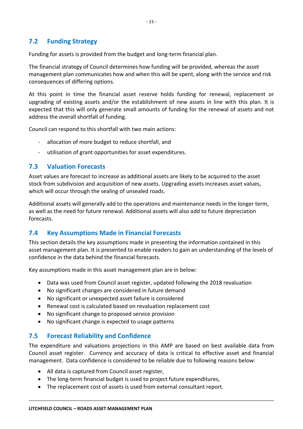#### <span id="page-25-3"></span>**7.2 Funding Strategy**

Funding for assets is provided from the budget and long-term financial plan.

The financial strategy of Council determines how funding will be provided, whereas the asset management plan communicates how and when this will be spent, along with the service and risk consequences of differing options.

At this point in time the financial asset reserve holds funding for renewal, replacement or upgrading of existing assets and/or the establishment of new assets in line with this plan. It is expected that this will only generate small amounts of funding for the renewal of assets and not address the overall shortfall of funding.

Council can respond to this shortfall with two main actions:

- allocation of more budget to reduce shortfall, and
- utilisation of grant opportunities for asset expenditures.

#### <span id="page-25-0"></span>**7.3 Valuation Forecasts**

Asset values are forecast to increase as additional assets are likely to be acquired to the asset stock from subdivision and acquisition of new assets. Upgrading assets increases asset values, which will occur through the sealing of unsealed roads.

Additional assets will generally add to the operations and maintenance needs in the longer term, as well as the need for future renewal. Additional assets will also add to future depreciation forecasts.

#### <span id="page-25-1"></span>**7.4 Key Assumptions Made in Financial Forecasts**

This section details the key assumptions made in presenting the information contained in this asset management plan. It is presented to enable readers to gain an understanding of the levels of confidence in the data behind the financial forecasts.

Key assumptions made in this asset management plan are in below:

- Data was used from Council asset register, updated following the 2018 revaluation
- No significant changes are considered in future demand
- No significant or unexpected asset failure is considered
- Renewal cost is calculated based on revaluation replacement cost
- No significant change to proposed service provision
- No significant change is expected to usage patterns

#### <span id="page-25-2"></span>**7.5 Forecast Reliability and Confidence**

The expenditure and valuations projections in this AMP are based on best available data from Council asset register. Currency and accuracy of data is critical to effective asset and financial management. Data confidence is considered to be reliable due to following reasons below:

- All data is captured from Council asset register,
- The long-term financial budget is used to project future expenditures,
- The replacement cost of assets is used from external consultant report.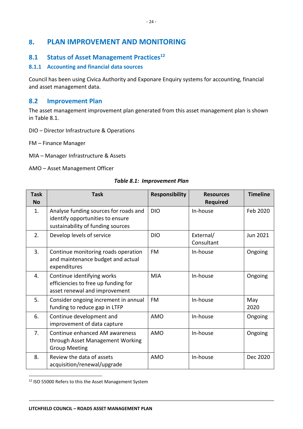## **8. PLAN IMPROVEMENT AND MONITORING**

#### <span id="page-26-0"></span>**8.1 Status of Asset Management Practices<sup>12</sup>**

#### **8.1.1 Accounting and financial data sources**

Council has been using Civica Authority and Exponare Enquiry systems for accounting, financial and asset management data.

#### <span id="page-26-1"></span>**8.2 Improvement Plan**

The asset management improvement plan generated from this asset management plan is shown in Table 8.1.

- DIO Director Infrastructure & Operations
- FM Finance Manager
- MIA Manager Infrastructure & Assets
- AMO Asset Management Officer

#### *Table 8.1: Improvement Plan*

| <b>Task</b><br><b>No</b> | <b>Task</b>                                                                                                    | <b>Responsibility</b> | <b>Resources</b><br><b>Required</b> | <b>Timeline</b> |
|--------------------------|----------------------------------------------------------------------------------------------------------------|-----------------------|-------------------------------------|-----------------|
| 1.                       | Analyse funding sources for roads and<br>identify opportunities to ensure<br>sustainability of funding sources | <b>DIO</b>            | In-house                            | Feb 2020        |
| 2.                       | Develop levels of service                                                                                      | <b>DIO</b>            | External/<br>Consultant             | Jun 2021        |
| 3.                       | Continue monitoring roads operation<br>and maintenance budget and actual<br>expenditures                       | <b>FM</b>             | In-house                            | Ongoing         |
| 4.                       | Continue identifying works<br>efficiencies to free up funding for<br>asset renewal and improvement             | <b>MIA</b>            | In-house                            | Ongoing         |
| 5.                       | Consider ongoing increment in annual<br>funding to reduce gap in LTFP                                          | <b>FM</b>             | In-house                            | May<br>2020     |
| 6.                       | Continue development and<br>improvement of data capture                                                        | AMO                   | In-house                            | Ongoing         |
| 7.                       | Continue enhanced AM awareness<br>through Asset Management Working<br><b>Group Meeting</b>                     | <b>AMO</b>            | In-house                            | Ongoing         |
| 8.                       | Review the data of assets<br>acquisition/renewal/upgrade                                                       | <b>AMO</b>            | In-house                            | Dec 2020        |

<sup>&</sup>lt;sup>12</sup> ISO 55000 Refers to this the Asset Management System

**.**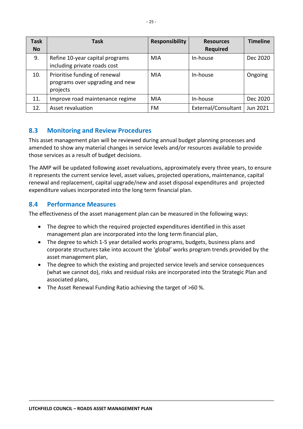| Task<br><b>No</b> | <b>Task</b>                                                                  | <b>Responsibility</b> | <b>Resources</b><br><b>Required</b> | <b>Timeline</b> |
|-------------------|------------------------------------------------------------------------------|-----------------------|-------------------------------------|-----------------|
| 9.                | Refine 10-year capital programs<br>including private roads cost              | MIA                   | In-house                            | Dec 2020        |
| 10.               | Prioritise funding of renewal<br>programs over upgrading and new<br>projects | MIA                   | In-house                            | Ongoing         |
| 11.               | Improve road maintenance regime                                              | MIA                   | In-house                            | Dec 2020        |
| 12.               | Asset revaluation                                                            | <b>FM</b>             | External/Consultant                 | Jun 2021        |

#### <span id="page-27-0"></span>**8.3 Monitoring and Review Procedures**

This asset management plan will be reviewed during annual budget planning processes and amended to show any material changes in service levels and/or resources available to provide those services as a result of budget decisions.

The AMP will be updated following asset revaluations, approximately every three years, to ensure it represents the current service level, asset values, projected operations, maintenance, capital renewal and replacement, capital upgrade/new and asset disposal expenditures and projected expenditure values incorporated into the long term financial plan.

#### <span id="page-27-1"></span>**8.4 Performance Measures**

The effectiveness of the asset management plan can be measured in the following ways:

- The degree to which the required projected expenditures identified in this asset management plan are incorporated into the long term financial plan,
- The degree to which 1-5 year detailed works programs, budgets, business plans and corporate structures take into account the 'global' works program trends provided by the asset management plan,
- The degree to which the existing and projected service levels and service consequences (what we cannot do), risks and residual risks are incorporated into the Strategic Plan and associated plans,
- The Asset Renewal Funding Ratio achieving the target of >60 %.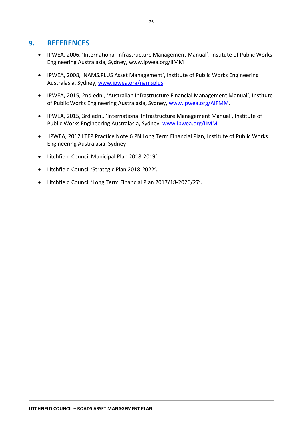#### <span id="page-28-0"></span>**9. REFERENCES**

- IPWEA, 2006, 'International Infrastructure Management Manual', Institute of Public Works Engineering Australasia, Sydney, www.ipwea.org/IIMM
- IPWEA, 2008, 'NAMS.PLUS Asset Management', Institute of Public Works Engineering Australasia, Sydney, [www.ipwea.org/namsplus.](https://infoxpert.edrms/Downloads/www.ipwea.org/namsplus)
- IPWEA, 2015, 2nd edn., 'Australian Infrastructure Financial Management Manual', Institute of Public Works Engineering Australasia, Sydney, [www.ipwea.org/AIFMM.](http://www.ipwea.org/AIFMM)
- IPWEA, 2015, 3rd edn., 'International Infrastructure Management Manual', Institute of Public Works Engineering Australasia, Sydney, [www.ipwea.org/IIMM](http://www.ipwea.org/IIMM)
- IPWEA, 2012 LTFP Practice Note 6 PN Long Term Financial Plan, Institute of Public Works Engineering Australasia, Sydney
- Litchfield Council Municipal Plan 2018-2019'
- Litchfield Council 'Strategic Plan 2018-2022'.
- Litchfield Council 'Long Term Financial Plan 2017/18-2026/27'.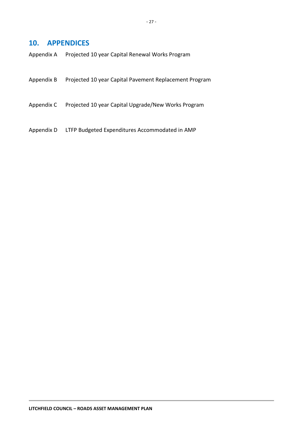#### <span id="page-29-0"></span>**10. APPENDICES**

| Appendix A |  | Projected 10 year Capital Renewal Works Program |
|------------|--|-------------------------------------------------|
|------------|--|-------------------------------------------------|

- Appendix B Projected 10 year Capital Pavement Replacement Program
- Appendix C Projected 10 year Capital Upgrade/New Works Program
- Appendix D LTFP Budgeted Expenditures Accommodated in AMP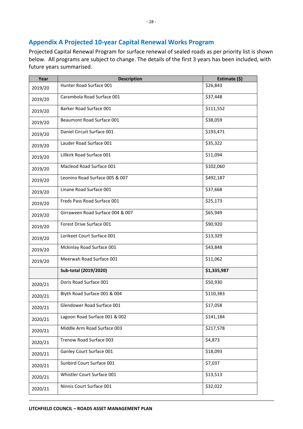#### <span id="page-30-0"></span>**Appendix A Projected 10-year Capital Renewal Works Program**

Projected Capital Renewal Program for surface renewal of sealed roads as per priority list is shown below. All programs are subject to change. The details of the first 3 years has been included, with future years summarised.

| Year    | <b>Description</b>               | Estimate (\$) |
|---------|----------------------------------|---------------|
| 2019/20 | Hunter Road Surface 001          | \$26,843      |
| 2019/20 | Carambola Road Surface 001       | \$37,448      |
| 2019/20 | Barker Road Surface 001          | \$111,552     |
| 2019/20 | Beaumont Road Surface 001        | \$38,059      |
| 2019/20 | Daniel Circuit Surface 001       | \$193,471     |
| 2019/20 | Lauder Road Surface 001          | \$35,322      |
| 2019/20 | Lillkirk Road Surface 001        | \$11,094      |
| 2019/20 | Macleod Road Surface 001         | \$102,060     |
| 2019/20 | Leonino Road Surface 005 & 007   | \$492,187     |
| 2019/20 | Linane Road Surface 001          | \$37,668      |
| 2019/20 | Freds Pass Road Surface 001      | \$25,173      |
| 2019/20 | Girraween Road Surface 004 & 007 | \$65,949      |
| 2019/20 | Forest Drive Surface 001         | \$90,920      |
| 2019/20 | Lorikeet Court Surface 001       | \$13,329      |
| 2019/20 | Mckinlay Road Surface 001        | \$43,848      |
| 2019/20 | Meerwah Road Surface 001         | \$11,062      |
|         | Sub-total (2019/2020)            | \$1,335,987   |
| 2020/21 | Doris Road Surface 001           | \$50,930      |
| 2020/21 | Blyth Road Surface 001 & 004     | \$110,383     |
| 2020/21 | Glendower Road Surface 001       | \$17,058      |
| 2020/21 | Lagoon Road Surface 001 & 002    | \$141,184     |
| 2020/21 | Middle Arm Road Surface 003      | \$217,578     |
| 2020/21 | Trenow Road Surface 003          | \$4,873       |
| 2020/21 | Ganley Court Surface 001         | \$18,093      |
| 2020/21 | Sunbird Court Surface 001        | \$7,037       |
| 2020/21 | Whistler Court Surface 001       | \$13,513      |
| 2020/21 | Ninnis Court Surface 001         | \$32,022      |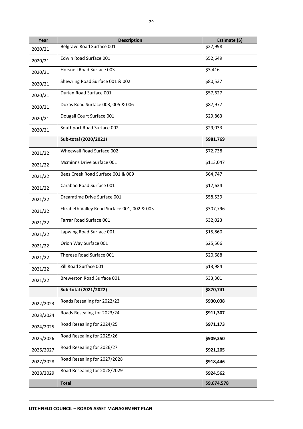| Year      | <b>Description</b>                           | Estimate (\$) |
|-----------|----------------------------------------------|---------------|
| 2020/21   | Belgrave Road Surface 001                    | \$27,998      |
| 2020/21   | Edwin Road Surface 001                       | \$52,649      |
| 2020/21   | Horsnell Road Surface 003                    | \$3,416       |
| 2020/21   | Shewring Road Surface 001 & 002              | \$80,537      |
| 2020/21   | Durian Road Surface 001                      | \$57,627      |
| 2020/21   | Doxas Road Surface 003, 005 & 006            | \$87,977      |
| 2020/21   | Dougall Court Surface 001                    | \$29,863      |
| 2020/21   | Southport Road Surface 002                   | \$29,033      |
|           | Sub-total (2020/2021)                        | \$981,769     |
| 2021/22   | Wheewall Road Surface 002                    | \$72,738      |
| 2021/22   | Mcminns Drive Surface 001                    | \$113,047     |
| 2021/22   | Bees Creek Road Surface 001 & 009            | \$64,747      |
| 2021/22   | Carabao Road Surface 001                     | \$17,634      |
| 2021/22   | Dreamtime Drive Surface 001                  | \$58,539      |
| 2021/22   | Elizabeth Valley Road Surface 001, 002 & 003 | \$307,796     |
| 2021/22   | Farrar Road Surface 001                      | \$32,023      |
| 2021/22   | Lapwing Road Surface 001                     | \$15,860      |
| 2021/22   | Orion Way Surface 001                        | \$25,566      |
| 2021/22   | Therese Road Surface 001                     | \$20,688      |
| 2021/22   | Zill Road Surface 001                        | \$13,984      |
| 2021/22   | Brewerton Road Surface 001                   | \$33,301      |
|           | Sub-total (2021/2022)                        | \$870,741     |
| 2022/2023 | Roads Resealing for 2022/23                  | \$930,038     |
| 2023/2024 | Roads Resealing for 2023/24                  | \$911,307     |
| 2024/2025 | Road Resealing for 2024/25                   | \$971,173     |
| 2025/2026 | Road Resealing for 2025/26                   | \$909,350     |
| 2026/2027 | Road Resealing for 2026/27                   | \$921,205     |
| 2027/2028 | Road Resealing for 2027/2028                 | \$918,446     |
| 2028/2029 | Road Resealing for 2028/2029                 | \$924,562     |
|           | <b>Total</b>                                 | \$9,674,578   |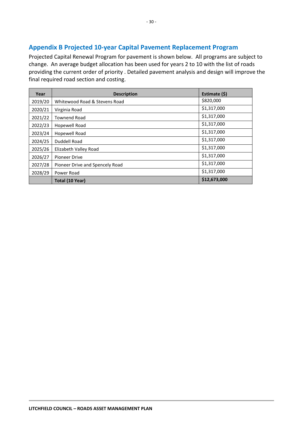#### <span id="page-32-0"></span>**Appendix B Projected 10-year Capital Pavement Replacement Program**

Projected Capital Renewal Program for pavement is shown below. All programs are subject to change. An average budget allocation has been used for years 2 to 10 with the list of roads providing the current order of priority . Detailed pavement analysis and design will improve the final required road section and costing.

| Year    | <b>Description</b>              | Estimate (\$) |
|---------|---------------------------------|---------------|
| 2019/20 | Whitewood Road & Stevens Road   | \$820,000     |
| 2020/21 | Virginia Road                   | \$1,317,000   |
| 2021/22 | <b>Townend Road</b>             | \$1,317,000   |
| 2022/23 | Hopewell Road                   | \$1,317,000   |
| 2023/24 | Hopewell Road                   | \$1,317,000   |
| 2024/25 | Duddell Road                    | \$1,317,000   |
| 2025/26 | Elizabeth Valley Road           | \$1,317,000   |
| 2026/27 | <b>Pioneer Drive</b>            | \$1,317,000   |
| 2027/28 | Pioneer Drive and Spencely Road | \$1,317,000   |
| 2028/29 | Power Road                      | \$1,317,000   |
|         | Total (10 Year)                 | \$12,673,000  |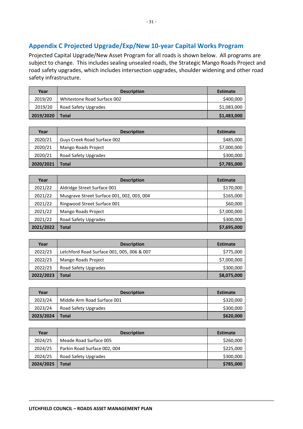#### <span id="page-33-0"></span>**Appendix C Projected Upgrade/Exp/New 10-year Capital Works Program**

Projected Capital Upgrade/New Asset Program for all roads is shown below. All programs are subject to change. This includes sealing unsealed roads, the Strategic Mango Roads Project and road safety upgrades, which includes intersection upgrades, shoulder widening and other road safety infrastructure.

| Year      | <b>Description</b>          | <b>Estimate</b> |
|-----------|-----------------------------|-----------------|
| 2019/20   | Whitestone Road Surface 002 | \$400,000       |
| 2019/20   | Road Safety Upgrades        | \$1,083,000     |
| 2019/2020 | <b>Total</b>                | \$1,483,000     |

| Year      | <b>Description</b>          | <b>Estimate</b> |
|-----------|-----------------------------|-----------------|
| 2020/21   | Guys Creek Road Surface 002 | \$485,000       |
| 2020/21   | Mango Roads Project         | \$7,000,000     |
| 2020/21   | Road Safety Upgrades        | \$300,000       |
| 2020/2021 | Total                       | \$7,785,000     |

| Year      | <b>Description</b>                         | <b>Estimate</b> |
|-----------|--------------------------------------------|-----------------|
| 2021/22   | Aldridge Street Surface 001                | \$170,000       |
| 2021/22   | Musgrave Street Surface 001, 002, 003, 004 | \$165,000       |
| 2021/22   | Ringwood Street Surface 001                | \$60,000        |
| 2021/22   | <b>Mango Roads Project</b>                 | \$7,000,000     |
| 2021/22   | Road Safety Upgrades                       | \$300,000       |
| 2021/2022 | <b>Total</b>                               | \$7,695,000     |

| Year      | <b>Description</b>                         | <b>Estimate</b> |
|-----------|--------------------------------------------|-----------------|
| 2022/23   | Letchford Road Surface 001, 005, 006 & 007 | \$775,000       |
| 2022/23   | <b>Mango Roads Project</b>                 | \$7,000,000     |
| 2022/23   | Road Safety Upgrades                       | \$300,000       |
| 2022/2023 | Total                                      | \$8,075,000     |

| Year      | <b>Description</b>          | <b>Estimate</b> |
|-----------|-----------------------------|-----------------|
| 2023/24   | Middle Arm Road Surface 001 | \$320,000       |
| 2023/24   | Road Safety Upgrades        | \$300,000       |
| 2023/2024 | Total                       | \$620,000       |

| Year      | <b>Description</b>           | <b>Estimate</b> |
|-----------|------------------------------|-----------------|
| 2024/25   | Meade Road Surface 005       | \$260,000       |
| 2024/25   | Parkin Road Surface 002, 004 | \$225,000       |
| 2024/25   | Road Safety Upgrades         | \$300,000       |
| 2024/2025 | Total                        | \$785,000       |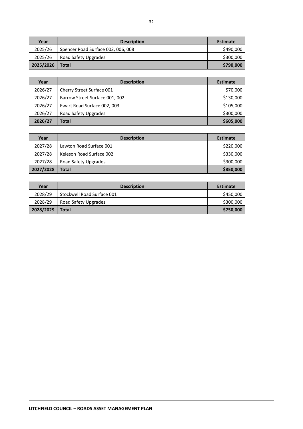| Year      | <b>Description</b>                 | <b>Estimate</b> |
|-----------|------------------------------------|-----------------|
| 2025/26   | Spencer Road Surface 002, 006, 008 | \$490,000       |
| 2025/26   | Road Safety Upgrades               | \$300,000       |
| 2025/2026 | Total                              | \$790,000       |

| Year    | <b>Description</b>             | <b>Estimate</b> |  |  |
|---------|--------------------------------|-----------------|--|--|
| 2026/27 | Cherry Street Surface 001      | \$70,000        |  |  |
| 2026/27 | Barrow Street Surface 001, 002 | \$130,000       |  |  |
| 2026/27 | Ewart Road Surface 002, 003    | \$105,000       |  |  |
| 2026/27 | Road Safety Upgrades           | \$300,000       |  |  |
| 2026/27 | Total                          | \$605,000       |  |  |

| Year      | <b>Description</b>       | <b>Estimate</b> |
|-----------|--------------------------|-----------------|
| 2027/28   | Lawton Road Surface 001  | \$220,000       |
| 2027/28   | Keleson Road Surface 002 | \$330,000       |
| 2027/28   | Road Safety Upgrades     | \$300,000       |
| 2027/2028 | <b>Total</b>             | \$850,000       |

| Year      | <b>Description</b>         | <b>Estimate</b> |
|-----------|----------------------------|-----------------|
| 2028/29   | Stockwell Road Surface 001 | \$450,000       |
| 2028/29   | Road Safety Upgrades       | \$300,000       |
| 2028/2029 | Total                      | \$750,000       |